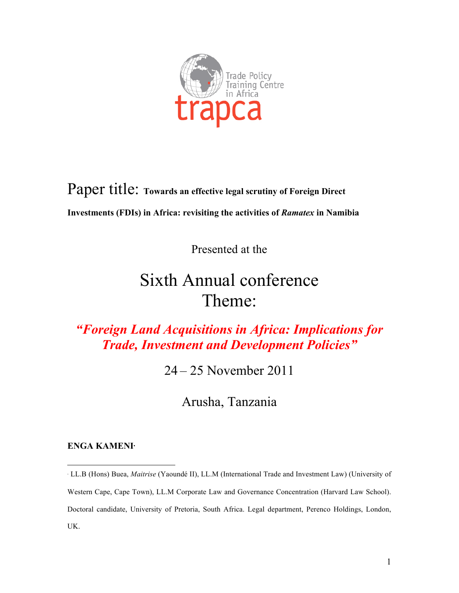

Paper title: **Towards an effective legal scrutiny of Foreign Direct Investments (FDIs) in Africa: revisiting the activities of** *Ramatex* **in Namibia**

Presented at the

# Sixth Annual conference Theme:

## *"Foreign Land Acquisitions in Africa: Implications for Trade, Investment and Development Policies"*

24 – 25 November 2011

Arusha, Tanzania

#### **ENGA KAMENI**<sup>∗</sup>

 $\overline{a}$ 

<sup>∗</sup> LL.B (Hons) Buea, *Maitrise* (Yaoundé II), LL.M (International Trade and Investment Law) (University of Western Cape, Cape Town), LL.M Corporate Law and Governance Concentration (Harvard Law School). Doctoral candidate, University of Pretoria, South Africa. Legal department, Perenco Holdings, London, UK.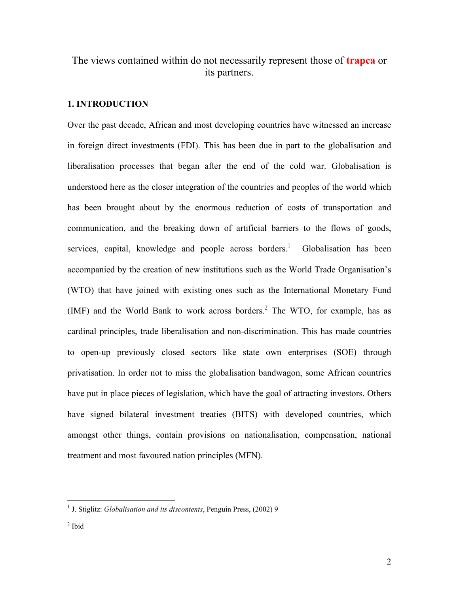### The views contained within do not necessarily represent those of **trapca** or its partners.

#### **1. INTRODUCTION**

Over the past decade, African and most developing countries have witnessed an increase in foreign direct investments (FDI). This has been due in part to the globalisation and liberalisation processes that began after the end of the cold war. Globalisation is understood here as the closer integration of the countries and peoples of the world which has been brought about by the enormous reduction of costs of transportation and communication, and the breaking down of artificial barriers to the flows of goods, services, capital, knowledge and people across borders.<sup>1</sup> Globalisation has been accompanied by the creation of new institutions such as the World Trade Organisation's (WTO) that have joined with existing ones such as the International Monetary Fund (IMF) and the World Bank to work across borders.<sup>2</sup> The WTO, for example, has as cardinal principles, trade liberalisation and non-discrimination. This has made countries to open-up previously closed sectors like state own enterprises (SOE) through privatisation. In order not to miss the globalisation bandwagon, some African countries have put in place pieces of legislation, which have the goal of attracting investors. Others have signed bilateral investment treaties (BITS) with developed countries, which amongst other things, contain provisions on nationalisation, compensation, national treatment and most favoured nation principles (MFN).

<sup>&</sup>lt;sup>1</sup> J. Stiglitz: *Globalisation and its discontents*, Penguin Press, (2002) 9

 $2$  Ibid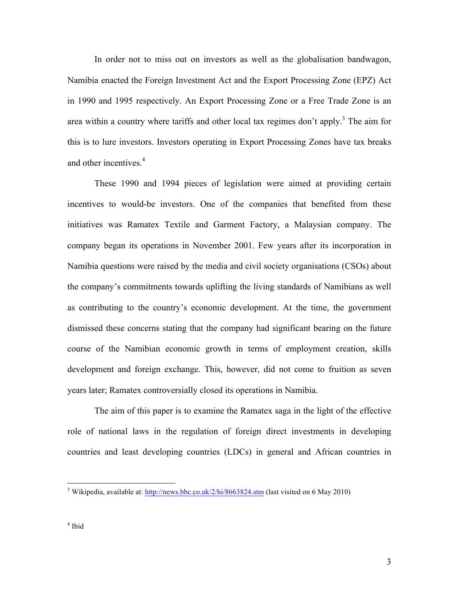In order not to miss out on investors as well as the globalisation bandwagon, Namibia enacted the Foreign Investment Act and the Export Processing Zone (EPZ) Act in 1990 and 1995 respectively. An Export Processing Zone or a Free Trade Zone is an area within a country where tariffs and other local tax regimes don't apply.<sup>3</sup> The aim for this is to lure investors. Investors operating in Export Processing Zones have tax breaks and other incentives.<sup>4</sup>

These 1990 and 1994 pieces of legislation were aimed at providing certain incentives to would-be investors. One of the companies that benefited from these initiatives was Ramatex Textile and Garment Factory, a Malaysian company. The company began its operations in November 2001. Few years after its incorporation in Namibia questions were raised by the media and civil society organisations (CSOs) about the company's commitments towards uplifting the living standards of Namibians as well as contributing to the country's economic development. At the time, the government dismissed these concerns stating that the company had significant bearing on the future course of the Namibian economic growth in terms of employment creation, skills development and foreign exchange. This, however, did not come to fruition as seven years later; Ramatex controversially closed its operations in Namibia.

The aim of this paper is to examine the Ramatex saga in the light of the effective role of national laws in the regulation of foreign direct investments in developing countries and least developing countries (LDCs) in general and African countries in

<sup>&</sup>lt;sup>3</sup> Wikipedia, available at: http://news.bbc.co.uk/2/hi/8663824.stm (last visited on 6 May 2010)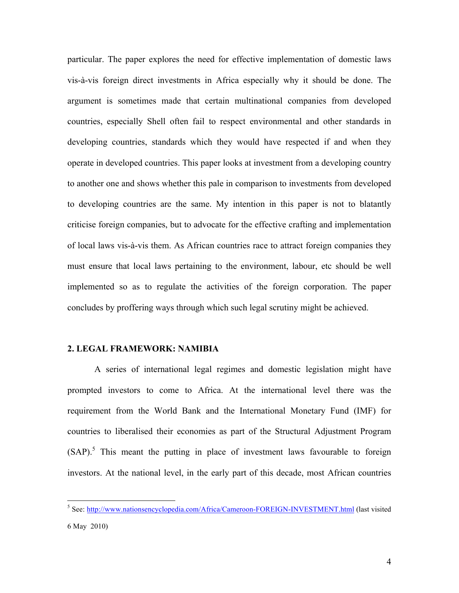particular. The paper explores the need for effective implementation of domestic laws vis-à-vis foreign direct investments in Africa especially why it should be done. The argument is sometimes made that certain multinational companies from developed countries, especially Shell often fail to respect environmental and other standards in developing countries, standards which they would have respected if and when they operate in developed countries. This paper looks at investment from a developing country to another one and shows whether this pale in comparison to investments from developed to developing countries are the same. My intention in this paper is not to blatantly criticise foreign companies, but to advocate for the effective crafting and implementation of local laws vis-à-vis them. As African countries race to attract foreign companies they must ensure that local laws pertaining to the environment, labour, etc should be well implemented so as to regulate the activities of the foreign corporation. The paper concludes by proffering ways through which such legal scrutiny might be achieved.

#### **2. LEGAL FRAMEWORK: NAMIBIA**

A series of international legal regimes and domestic legislation might have prompted investors to come to Africa. At the international level there was the requirement from the World Bank and the International Monetary Fund (IMF) for countries to liberalised their economies as part of the Structural Adjustment Program  $(SAP)$ <sup>5</sup>. This meant the putting in place of investment laws favourable to foreign investors. At the national level, in the early part of this decade, most African countries

 <sup>5</sup> See: http://www.nationsencyclopedia.com/Africa/Cameroon-FOREIGN-INVESTMENT.html (last visited

<sup>6</sup> May 2010)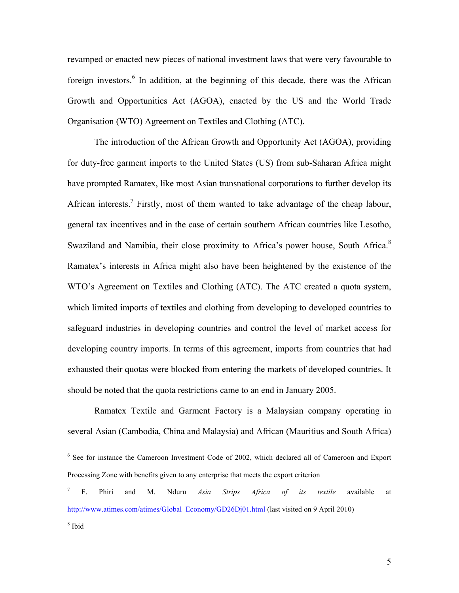revamped or enacted new pieces of national investment laws that were very favourable to foreign investors.<sup>6</sup> In addition, at the beginning of this decade, there was the African Growth and Opportunities Act (AGOA), enacted by the US and the World Trade Organisation (WTO) Agreement on Textiles and Clothing (ATC).

The introduction of the African Growth and Opportunity Act (AGOA), providing for duty-free garment imports to the United States (US) from sub-Saharan Africa might have prompted Ramatex, like most Asian transnational corporations to further develop its African interests.<sup>7</sup> Firstly, most of them wanted to take advantage of the cheap labour, general tax incentives and in the case of certain southern African countries like Lesotho, Swaziland and Namibia, their close proximity to Africa's power house, South Africa.8 Ramatex's interests in Africa might also have been heightened by the existence of the WTO's Agreement on Textiles and Clothing (ATC). The ATC created a quota system, which limited imports of textiles and clothing from developing to developed countries to safeguard industries in developing countries and control the level of market access for developing country imports. In terms of this agreement, imports from countries that had exhausted their quotas were blocked from entering the markets of developed countries. It should be noted that the quota restrictions came to an end in January 2005.

Ramatex Textile and Garment Factory is a Malaysian company operating in several Asian (Cambodia, China and Malaysia) and African (Mauritius and South Africa)

<sup>&</sup>lt;sup>6</sup> See for instance the Cameroon Investment Code of 2002, which declared all of Cameroon and Export Processing Zone with benefits given to any enterprise that meets the export criterion

<sup>7</sup> F. Phiri and M. Nduru *Asia Strips Africa of its textile* available at http://www.atimes.com/atimes/Global\_Economy/GD26Dj01.html (last visited on 9 April 2010)

<sup>8</sup> Ibid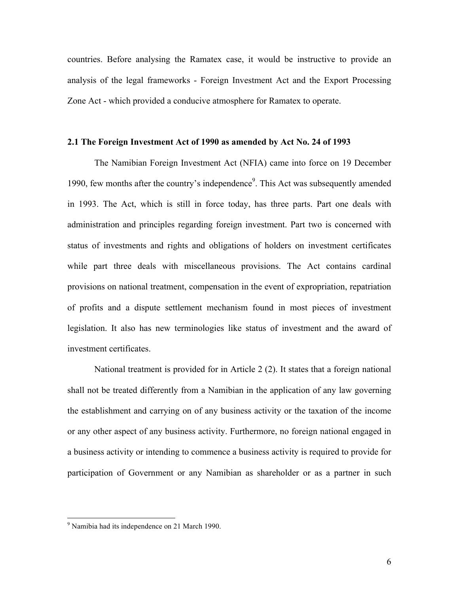countries. Before analysing the Ramatex case, it would be instructive to provide an analysis of the legal frameworks - Foreign Investment Act and the Export Processing Zone Act - which provided a conducive atmosphere for Ramatex to operate.

#### **2.1 The Foreign Investment Act of 1990 as amended by Act No. 24 of 1993**

The Namibian Foreign Investment Act (NFIA) came into force on 19 December 1990, few months after the country's independence<sup>9</sup>. This Act was subsequently amended in 1993. The Act, which is still in force today, has three parts. Part one deals with administration and principles regarding foreign investment. Part two is concerned with status of investments and rights and obligations of holders on investment certificates while part three deals with miscellaneous provisions. The Act contains cardinal provisions on national treatment, compensation in the event of expropriation, repatriation of profits and a dispute settlement mechanism found in most pieces of investment legislation. It also has new terminologies like status of investment and the award of investment certificates.

National treatment is provided for in Article 2 (2). It states that a foreign national shall not be treated differently from a Namibian in the application of any law governing the establishment and carrying on of any business activity or the taxation of the income or any other aspect of any business activity. Furthermore, no foreign national engaged in a business activity or intending to commence a business activity is required to provide for participation of Government or any Namibian as shareholder or as a partner in such

 <sup>9</sup> Namibia had its independence on 21 March 1990.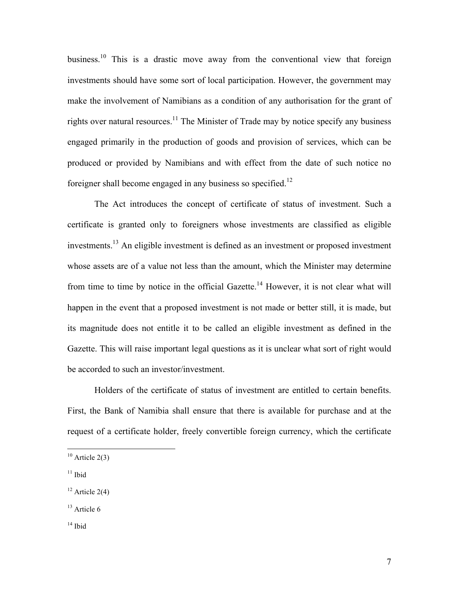business.<sup>10</sup> This is a drastic move away from the conventional view that foreign investments should have some sort of local participation. However, the government may make the involvement of Namibians as a condition of any authorisation for the grant of rights over natural resources.<sup>11</sup> The Minister of Trade may by notice specify any business engaged primarily in the production of goods and provision of services, which can be produced or provided by Namibians and with effect from the date of such notice no foreigner shall become engaged in any business so specified.<sup>12</sup>

The Act introduces the concept of certificate of status of investment. Such a certificate is granted only to foreigners whose investments are classified as eligible investments. <sup>13</sup> An eligible investment is defined as an investment or proposed investment whose assets are of a value not less than the amount, which the Minister may determine from time to time by notice in the official Gazette.<sup>14</sup> However, it is not clear what will happen in the event that a proposed investment is not made or better still, it is made, but its magnitude does not entitle it to be called an eligible investment as defined in the Gazette. This will raise important legal questions as it is unclear what sort of right would be accorded to such an investor/investment.

Holders of the certificate of status of investment are entitled to certain benefits. First, the Bank of Namibia shall ensure that there is available for purchase and at the request of a certificate holder, freely convertible foreign currency, which the certificate

 $11$  Ibid

 $14$  Ibid

 $10$  Article 2(3)

 $12$  Article 2(4)

 $13$  Article 6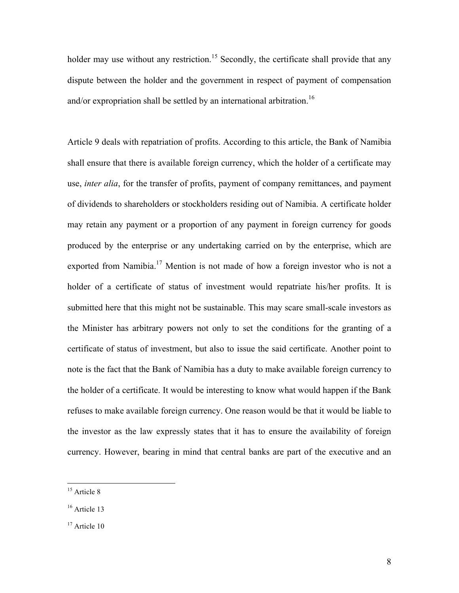holder may use without any restriction.<sup>15</sup> Secondly, the certificate shall provide that any dispute between the holder and the government in respect of payment of compensation and/or expropriation shall be settled by an international arbitration.<sup>16</sup>

Article 9 deals with repatriation of profits. According to this article, the Bank of Namibia shall ensure that there is available foreign currency, which the holder of a certificate may use, *inter alia*, for the transfer of profits, payment of company remittances, and payment of dividends to shareholders or stockholders residing out of Namibia. A certificate holder may retain any payment or a proportion of any payment in foreign currency for goods produced by the enterprise or any undertaking carried on by the enterprise, which are exported from Namibia.<sup>17</sup> Mention is not made of how a foreign investor who is not a holder of a certificate of status of investment would repatriate his/her profits. It is submitted here that this might not be sustainable. This may scare small-scale investors as the Minister has arbitrary powers not only to set the conditions for the granting of a certificate of status of investment, but also to issue the said certificate. Another point to note is the fact that the Bank of Namibia has a duty to make available foreign currency to the holder of a certificate. It would be interesting to know what would happen if the Bank refuses to make available foreign currency. One reason would be that it would be liable to the investor as the law expressly states that it has to ensure the availability of foreign currency. However, bearing in mind that central banks are part of the executive and an

<sup>&</sup>lt;sup>15</sup> Article 8

<sup>&</sup>lt;sup>16</sup> Article 13

<sup>&</sup>lt;sup>17</sup> Article 10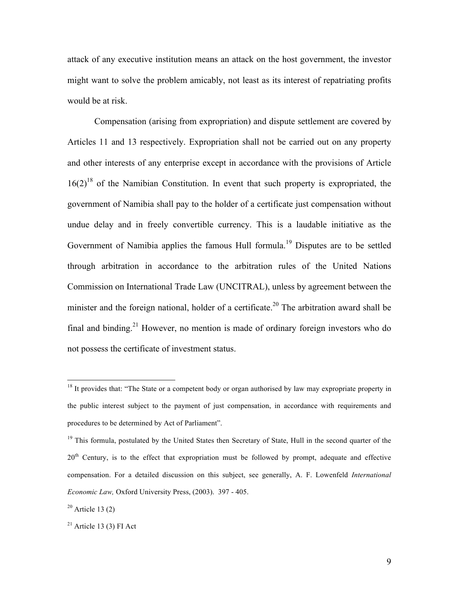attack of any executive institution means an attack on the host government, the investor might want to solve the problem amicably, not least as its interest of repatriating profits would be at risk.

Compensation (arising from expropriation) and dispute settlement are covered by Articles 11 and 13 respectively. Expropriation shall not be carried out on any property and other interests of any enterprise except in accordance with the provisions of Article  $16(2)^{18}$  of the Namibian Constitution. In event that such property is expropriated, the government of Namibia shall pay to the holder of a certificate just compensation without undue delay and in freely convertible currency. This is a laudable initiative as the Government of Namibia applies the famous Hull formula.<sup>19</sup> Disputes are to be settled through arbitration in accordance to the arbitration rules of the United Nations Commission on International Trade Law (UNCITRAL), unless by agreement between the minister and the foreign national, holder of a certificate.<sup>20</sup> The arbitration award shall be final and binding.<sup>21</sup> However, no mention is made of ordinary foreign investors who do not possess the certificate of investment status.

 $18$  It provides that: "The State or a competent body or organ authorised by law may expropriate property in the public interest subject to the payment of just compensation, in accordance with requirements and procedures to be determined by Act of Parliament".

<sup>&</sup>lt;sup>19</sup> This formula, postulated by the United States then Secretary of State, Hull in the second quarter of the 20<sup>th</sup> Century, is to the effect that expropriation must be followed by prompt, adequate and effective compensation. For a detailed discussion on this subject, see generally, A. F. Lowenfeld *International Economic Law,* Oxford University Press, (2003). 397 - 405.

 $20$  Article 13 (2)

 $21$  Article 13 (3) FI Act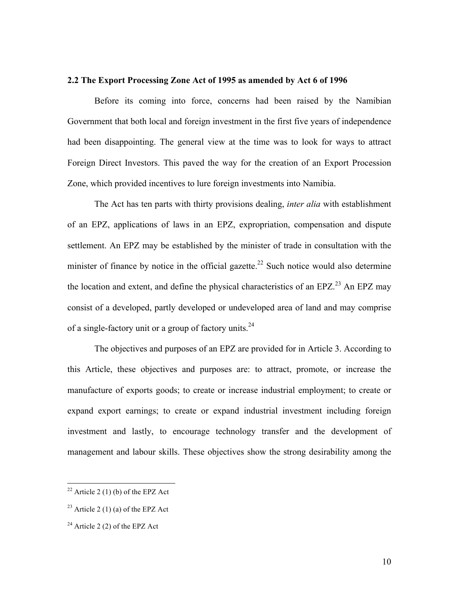#### **2.2 The Export Processing Zone Act of 1995 as amended by Act 6 of 1996**

Before its coming into force, concerns had been raised by the Namibian Government that both local and foreign investment in the first five years of independence had been disappointing. The general view at the time was to look for ways to attract Foreign Direct Investors. This paved the way for the creation of an Export Procession Zone, which provided incentives to lure foreign investments into Namibia.

The Act has ten parts with thirty provisions dealing, *inter alia* with establishment of an EPZ, applications of laws in an EPZ, expropriation, compensation and dispute settlement. An EPZ may be established by the minister of trade in consultation with the minister of finance by notice in the official gazette.<sup>22</sup> Such notice would also determine the location and extent, and define the physical characteristics of an EPZ.<sup>23</sup> An EPZ may consist of a developed, partly developed or undeveloped area of land and may comprise of a single-factory unit or a group of factory units.<sup>24</sup>

The objectives and purposes of an EPZ are provided for in Article 3. According to this Article, these objectives and purposes are: to attract, promote, or increase the manufacture of exports goods; to create or increase industrial employment; to create or expand export earnings; to create or expand industrial investment including foreign investment and lastly, to encourage technology transfer and the development of management and labour skills. These objectives show the strong desirability among the

 $22$  Article 2 (1) (b) of the EPZ Act

<sup>&</sup>lt;sup>23</sup> Article 2 (1) (a) of the EPZ Act

 $2<sup>24</sup>$  Article 2 (2) of the EPZ Act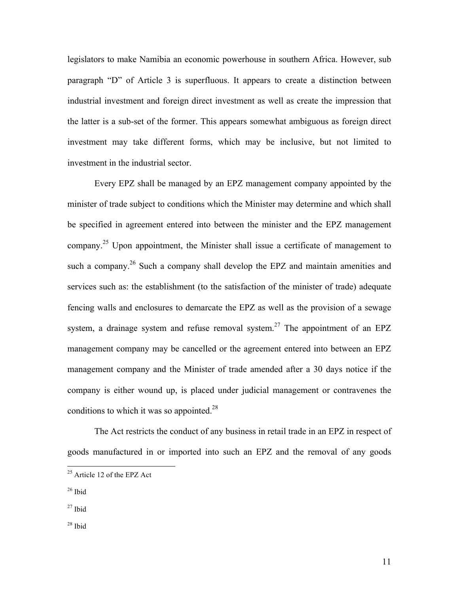legislators to make Namibia an economic powerhouse in southern Africa. However, sub paragraph "D" of Article 3 is superfluous. It appears to create a distinction between industrial investment and foreign direct investment as well as create the impression that the latter is a sub-set of the former. This appears somewhat ambiguous as foreign direct investment may take different forms, which may be inclusive, but not limited to investment in the industrial sector.

Every EPZ shall be managed by an EPZ management company appointed by the minister of trade subject to conditions which the Minister may determine and which shall be specified in agreement entered into between the minister and the EPZ management company.<sup>25</sup> Upon appointment, the Minister shall issue a certificate of management to such a company.<sup>26</sup> Such a company shall develop the EPZ and maintain amenities and services such as: the establishment (to the satisfaction of the minister of trade) adequate fencing walls and enclosures to demarcate the EPZ as well as the provision of a sewage system, a drainage system and refuse removal system.<sup>27</sup> The appointment of an EPZ management company may be cancelled or the agreement entered into between an EPZ management company and the Minister of trade amended after a 30 days notice if the company is either wound up, is placed under judicial management or contravenes the conditions to which it was so appointed. $^{28}$ 

The Act restricts the conduct of any business in retail trade in an EPZ in respect of goods manufactured in or imported into such an EPZ and the removal of any goods

 $25$  Article 12 of the EPZ Act

 $26$  Ibid

 $27$  Ibid

<sup>28</sup> Ibid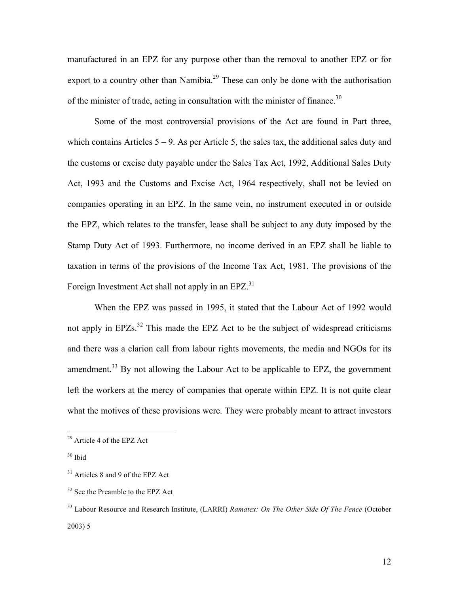manufactured in an EPZ for any purpose other than the removal to another EPZ or for export to a country other than Namibia.<sup>29</sup> These can only be done with the authorisation of the minister of trade, acting in consultation with the minister of finance.<sup>30</sup>

Some of the most controversial provisions of the Act are found in Part three, which contains Articles  $5 - 9$ . As per Article 5, the sales tax, the additional sales duty and the customs or excise duty payable under the Sales Tax Act, 1992, Additional Sales Duty Act, 1993 and the Customs and Excise Act, 1964 respectively, shall not be levied on companies operating in an EPZ. In the same vein, no instrument executed in or outside the EPZ, which relates to the transfer, lease shall be subject to any duty imposed by the Stamp Duty Act of 1993. Furthermore, no income derived in an EPZ shall be liable to taxation in terms of the provisions of the Income Tax Act, 1981. The provisions of the Foreign Investment Act shall not apply in an EPZ.<sup>31</sup>

When the EPZ was passed in 1995, it stated that the Labour Act of 1992 would not apply in  $E\text{PZs}^{32}$  This made the EPZ Act to be the subject of widespread criticisms and there was a clarion call from labour rights movements, the media and NGOs for its amendment.<sup>33</sup> By not allowing the Labour Act to be applicable to EPZ, the government left the workers at the mercy of companies that operate within EPZ. It is not quite clear what the motives of these provisions were. They were probably meant to attract investors

 <sup>29</sup> Article 4 of the EPZ Act

<sup>30</sup> Ibid

<sup>&</sup>lt;sup>31</sup> Articles 8 and 9 of the EPZ Act

<sup>&</sup>lt;sup>32</sup> See the Preamble to the EPZ Act

<sup>33</sup> Labour Resource and Research Institute, (LARRI) *Ramatex: On The Other Side Of The Fence* (October 2003) 5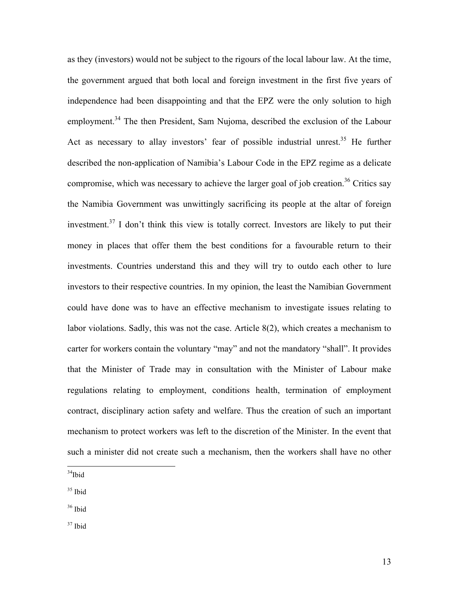as they (investors) would not be subject to the rigours of the local labour law. At the time, the government argued that both local and foreign investment in the first five years of independence had been disappointing and that the EPZ were the only solution to high employment.<sup>34</sup> The then President, Sam Nujoma, described the exclusion of the Labour Act as necessary to allay investors' fear of possible industrial unrest.<sup>35</sup> He further described the non-application of Namibia's Labour Code in the EPZ regime as a delicate compromise, which was necessary to achieve the larger goal of job creation.<sup>36</sup> Critics say the Namibia Government was unwittingly sacrificing its people at the altar of foreign investment.<sup>37</sup> I don't think this view is totally correct. Investors are likely to put their money in places that offer them the best conditions for a favourable return to their investments. Countries understand this and they will try to outdo each other to lure investors to their respective countries. In my opinion, the least the Namibian Government could have done was to have an effective mechanism to investigate issues relating to labor violations. Sadly, this was not the case. Article 8(2), which creates a mechanism to carter for workers contain the voluntary "may" and not the mandatory "shall". It provides that the Minister of Trade may in consultation with the Minister of Labour make regulations relating to employment, conditions health, termination of employment contract, disciplinary action safety and welfare. Thus the creation of such an important mechanism to protect workers was left to the discretion of the Minister. In the event that such a minister did not create such a mechanism, then the workers shall have no other

 $34$ Ibid

 $35$  Ibid

 $36$  Ibid

 $^{37}$  Ibid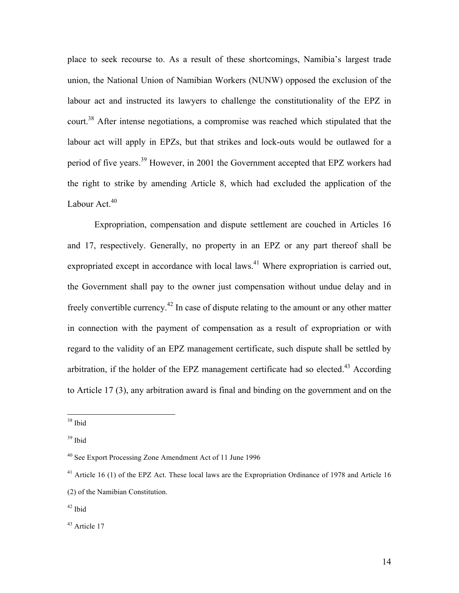place to seek recourse to. As a result of these shortcomings, Namibia's largest trade union, the National Union of Namibian Workers (NUNW) opposed the exclusion of the labour act and instructed its lawyers to challenge the constitutionality of the EPZ in court.<sup>38</sup> After intense negotiations, a compromise was reached which stipulated that the labour act will apply in EPZs, but that strikes and lock-outs would be outlawed for a period of five years.<sup>39</sup> However, in 2001 the Government accepted that EPZ workers had the right to strike by amending Article 8, which had excluded the application of the Labour Act.<sup>40</sup>

Expropriation, compensation and dispute settlement are couched in Articles 16 and 17, respectively. Generally, no property in an EPZ or any part thereof shall be expropriated except in accordance with local laws.<sup>41</sup> Where expropriation is carried out, the Government shall pay to the owner just compensation without undue delay and in freely convertible currency.<sup>42</sup> In case of dispute relating to the amount or any other matter in connection with the payment of compensation as a result of expropriation or with regard to the validity of an EPZ management certificate, such dispute shall be settled by arbitration, if the holder of the EPZ management certificate had so elected.<sup>43</sup> According to Article 17 (3), any arbitration award is final and binding on the government and on the

 $38$  Ibid

<sup>39</sup> Ibid

<sup>40</sup> See Export Processing Zone Amendment Act of 11 June 1996

<sup>&</sup>lt;sup>41</sup> Article 16 (1) of the EPZ Act. These local laws are the Expropriation Ordinance of 1978 and Article 16 (2) of the Namibian Constitution.

 $42$  Ibid

 $43$  Article 17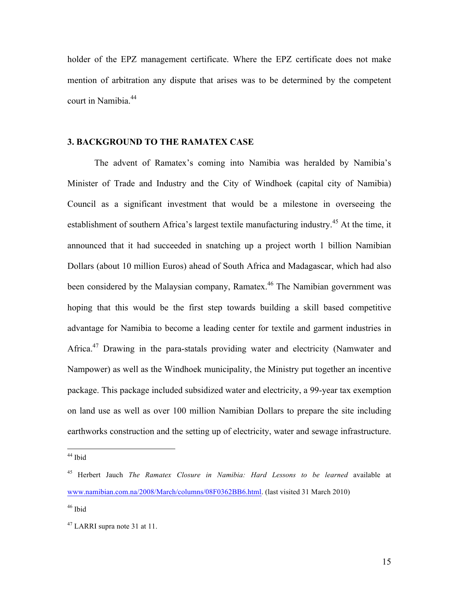holder of the EPZ management certificate. Where the EPZ certificate does not make mention of arbitration any dispute that arises was to be determined by the competent court in Namibia. 44

#### **3. BACKGROUND TO THE RAMATEX CASE**

The advent of Ramatex's coming into Namibia was heralded by Namibia's Minister of Trade and Industry and the City of Windhoek (capital city of Namibia) Council as a significant investment that would be a milestone in overseeing the establishment of southern Africa's largest textile manufacturing industry.<sup>45</sup> At the time, it announced that it had succeeded in snatching up a project worth 1 billion Namibian Dollars (about 10 million Euros) ahead of South Africa and Madagascar, which had also been considered by the Malaysian company, Ramatex.<sup>46</sup> The Namibian government was hoping that this would be the first step towards building a skill based competitive advantage for Namibia to become a leading center for textile and garment industries in Africa.<sup>47</sup> Drawing in the para-statals providing water and electricity (Namwater and Nampower) as well as the Windhoek municipality, the Ministry put together an incentive package. This package included subsidized water and electricity, a 99-year tax exemption on land use as well as over 100 million Namibian Dollars to prepare the site including earthworks construction and the setting up of electricity, water and sewage infrastructure.

<sup>&</sup>lt;sup>44</sup> Ibid

<sup>45</sup> Herbert Jauch *The Ramatex Closure in Namibia: Hard Lessons to be learned* available at www.namibian.com.na/2008/March/columns/08F0362BB6.html. (last visited 31 March 2010)

 $46$  Ibid

 $47$  LARRI supra note 31 at 11.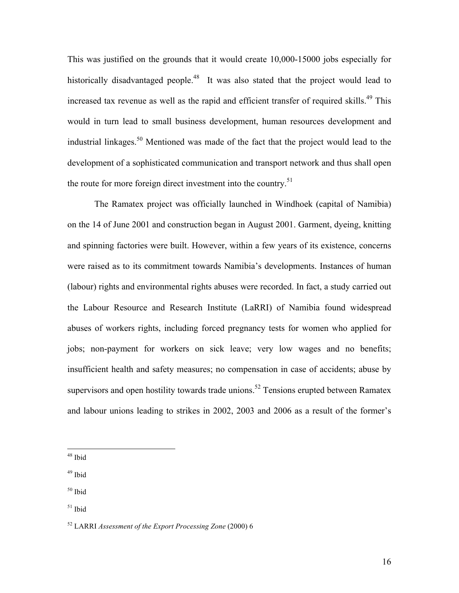This was justified on the grounds that it would create 10,000-15000 jobs especially for historically disadvantaged people.<sup>48</sup> It was also stated that the project would lead to increased tax revenue as well as the rapid and efficient transfer of required skills.<sup>49</sup> This would in turn lead to small business development, human resources development and industrial linkages. <sup>50</sup> Mentioned was made of the fact that the project would lead to the development of a sophisticated communication and transport network and thus shall open the route for more foreign direct investment into the country.<sup>51</sup>

The Ramatex project was officially launched in Windhoek (capital of Namibia) on the 14 of June 2001 and construction began in August 2001. Garment, dyeing, knitting and spinning factories were built. However, within a few years of its existence, concerns were raised as to its commitment towards Namibia's developments. Instances of human (labour) rights and environmental rights abuses were recorded. In fact, a study carried out the Labour Resource and Research Institute (LaRRI) of Namibia found widespread abuses of workers rights, including forced pregnancy tests for women who applied for jobs; non-payment for workers on sick leave; very low wages and no benefits; insufficient health and safety measures; no compensation in case of accidents; abuse by supervisors and open hostility towards trade unions.<sup>52</sup> Tensions erupted between Ramatex and labour unions leading to strikes in 2002, 2003 and 2006 as a result of the former's

 <sup>48</sup> Ibid

<sup>49</sup> Ibid

<sup>50</sup> Ibid

 $51$  Ibid

<sup>52</sup> LARRI *Assessment of the Export Processing Zone* (2000) 6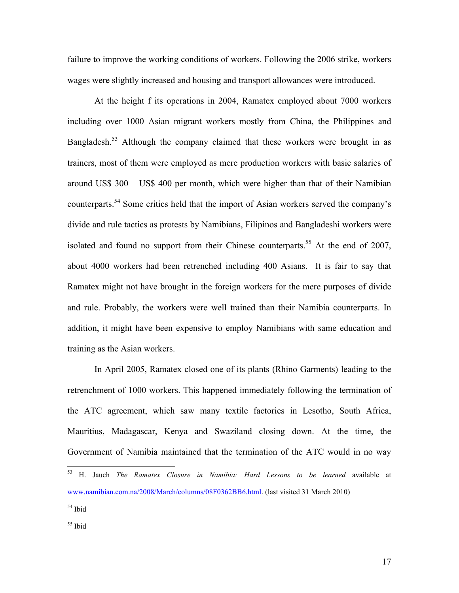failure to improve the working conditions of workers. Following the 2006 strike, workers wages were slightly increased and housing and transport allowances were introduced.

At the height f its operations in 2004, Ramatex employed about 7000 workers including over 1000 Asian migrant workers mostly from China, the Philippines and Bangladesh.<sup>53</sup> Although the company claimed that these workers were brought in as trainers, most of them were employed as mere production workers with basic salaries of around US\$ 300 – US\$ 400 per month, which were higher than that of their Namibian counterparts. <sup>54</sup> Some critics held that the import of Asian workers served the company's divide and rule tactics as protests by Namibians, Filipinos and Bangladeshi workers were isolated and found no support from their Chinese counterparts.<sup>55</sup> At the end of 2007, about 4000 workers had been retrenched including 400 Asians. It is fair to say that Ramatex might not have brought in the foreign workers for the mere purposes of divide and rule. Probably, the workers were well trained than their Namibia counterparts. In addition, it might have been expensive to employ Namibians with same education and training as the Asian workers.

In April 2005, Ramatex closed one of its plants (Rhino Garments) leading to the retrenchment of 1000 workers. This happened immediately following the termination of the ATC agreement, which saw many textile factories in Lesotho, South Africa, Mauritius, Madagascar, Kenya and Swaziland closing down. At the time, the Government of Namibia maintained that the termination of the ATC would in no way

 <sup>53</sup> H. Jauch *The Ramatex Closure in Namibia: Hard Lessons to be learned* available at www.namibian.com.na/2008/March/columns/08F0362BB6.html. (last visited 31 March 2010)

<sup>54</sup> Ibid

 $55$  Ibid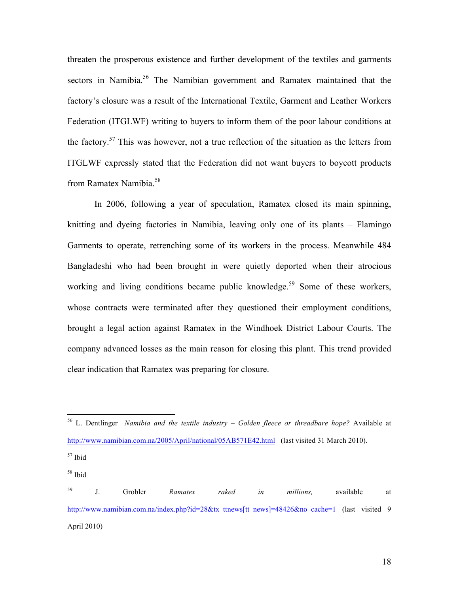threaten the prosperous existence and further development of the textiles and garments sectors in Namibia.<sup>56</sup> The Namibian government and Ramatex maintained that the factory's closure was a result of the International Textile, Garment and Leather Workers Federation (ITGLWF) writing to buyers to inform them of the poor labour conditions at the factory.<sup>57</sup> This was however, not a true reflection of the situation as the letters from ITGLWF expressly stated that the Federation did not want buyers to boycott products from Ramatex Namibia. 58

In 2006, following a year of speculation, Ramatex closed its main spinning, knitting and dyeing factories in Namibia, leaving only one of its plants – Flamingo Garments to operate, retrenching some of its workers in the process. Meanwhile 484 Bangladeshi who had been brought in were quietly deported when their atrocious working and living conditions became public knowledge.<sup>59</sup> Some of these workers, whose contracts were terminated after they questioned their employment conditions, brought a legal action against Ramatex in the Windhoek District Labour Courts. The company advanced losses as the main reason for closing this plant. This trend provided clear indication that Ramatex was preparing for closure.

<sup>59</sup> J. Grobler *Ramatex raked in millions,* available at http://www.namibian.com.na/index.php?id=28&tx\_ttnews[tt\_news]=48426&no\_cache=1 (last visited 9 April 2010)

 <sup>56</sup> L. Dentlinger *Namibia and the textile industry – Golden fleece or threadbare hope?* Available at http://www.namibian.com.na/2005/April/national/05AB571E42.html (last visited 31 March 2010).

<sup>57</sup> Ibid

<sup>58</sup> Ibid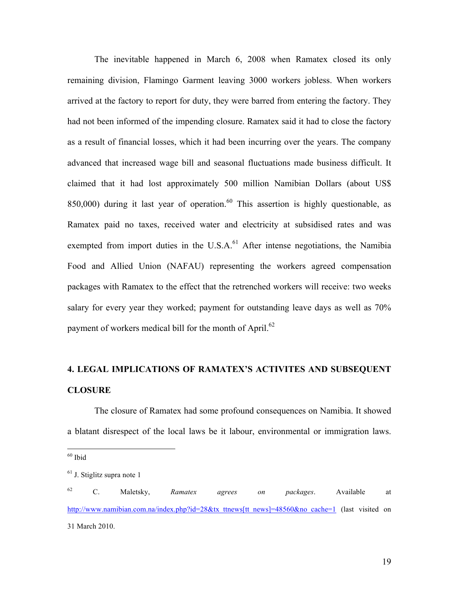The inevitable happened in March 6, 2008 when Ramatex closed its only remaining division, Flamingo Garment leaving 3000 workers jobless. When workers arrived at the factory to report for duty, they were barred from entering the factory. They had not been informed of the impending closure. Ramatex said it had to close the factory as a result of financial losses, which it had been incurring over the years. The company advanced that increased wage bill and seasonal fluctuations made business difficult. It claimed that it had lost approximately 500 million Namibian Dollars (about US\$ 850,000) during it last year of operation.<sup>60</sup> This assertion is highly questionable, as Ramatex paid no taxes, received water and electricity at subsidised rates and was exempted from import duties in the U.S.A.<sup>61</sup> After intense negotiations, the Namibia Food and Allied Union (NAFAU) representing the workers agreed compensation packages with Ramatex to the effect that the retrenched workers will receive: two weeks salary for every year they worked; payment for outstanding leave days as well as 70% payment of workers medical bill for the month of April.<sup>62</sup>

### **4. LEGAL IMPLICATIONS OF RAMATEX'S ACTIVITES AND SUBSEQUENT CLOSURE**

The closure of Ramatex had some profound consequences on Namibia. It showed a blatant disrespect of the local laws be it labour, environmental or immigration laws.

 $60$  Ibid

<sup>&</sup>lt;sup>61</sup> J. Stiglitz supra note 1

<sup>62</sup> C. Maletsky, *Ramatex agrees on packages*. Available at http://www.namibian.com.na/index.php?id=28&tx\_ttnews[tt\_news]=48560&no\_cache=1 (last visited on 31 March 2010.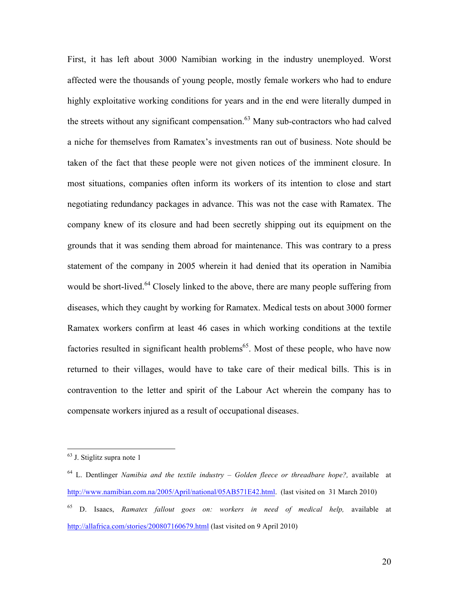First, it has left about 3000 Namibian working in the industry unemployed. Worst affected were the thousands of young people, mostly female workers who had to endure highly exploitative working conditions for years and in the end were literally dumped in the streets without any significant compensation.<sup>63</sup> Many sub-contractors who had calved a niche for themselves from Ramatex's investments ran out of business. Note should be taken of the fact that these people were not given notices of the imminent closure. In most situations, companies often inform its workers of its intention to close and start negotiating redundancy packages in advance. This was not the case with Ramatex. The company knew of its closure and had been secretly shipping out its equipment on the grounds that it was sending them abroad for maintenance. This was contrary to a press statement of the company in 2005 wherein it had denied that its operation in Namibia would be short-lived.<sup>64</sup> Closely linked to the above, there are many people suffering from diseases, which they caught by working for Ramatex. Medical tests on about 3000 former Ramatex workers confirm at least 46 cases in which working conditions at the textile factories resulted in significant health problems<sup>65</sup>. Most of these people, who have now returned to their villages, would have to take care of their medical bills. This is in contravention to the letter and spirit of the Labour Act wherein the company has to compensate workers injured as a result of occupational diseases.

 <sup>63</sup> J. Stiglitz supra note 1

<sup>64</sup> L. Dentlinger *Namibia and the textile industry – Golden fleece or threadbare hope?,* available at http://www.namibian.com.na/2005/April/national/05AB571E42.html. (last visited on 31 March 2010) <sup>65</sup> D. Isaacs, *Ramatex fallout goes on: workers in need of medical help,* available at

http://allafrica.com/stories/200807160679.html (last visited on 9 April 2010)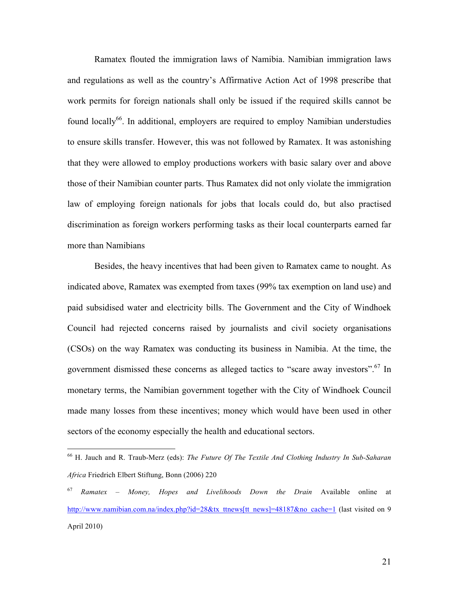Ramatex flouted the immigration laws of Namibia. Namibian immigration laws and regulations as well as the country's Affirmative Action Act of 1998 prescribe that work permits for foreign nationals shall only be issued if the required skills cannot be found locally<sup>66</sup>. In additional, employers are required to employ Namibian understudies to ensure skills transfer. However, this was not followed by Ramatex. It was astonishing that they were allowed to employ productions workers with basic salary over and above those of their Namibian counter parts. Thus Ramatex did not only violate the immigration law of employing foreign nationals for jobs that locals could do, but also practised discrimination as foreign workers performing tasks as their local counterparts earned far more than Namibians

Besides, the heavy incentives that had been given to Ramatex came to nought. As indicated above, Ramatex was exempted from taxes (99% tax exemption on land use) and paid subsidised water and electricity bills. The Government and the City of Windhoek Council had rejected concerns raised by journalists and civil society organisations (CSOs) on the way Ramatex was conducting its business in Namibia. At the time, the government dismissed these concerns as alleged tactics to "scare away investors".<sup>67</sup> In monetary terms, the Namibian government together with the City of Windhoek Council made many losses from these incentives; money which would have been used in other sectors of the economy especially the health and educational sectors.

 <sup>66</sup> H. Jauch and R. Traub-Merz (eds): *The Future Of The Textile And Clothing Industry In Sub-Saharan Africa* Friedrich Elbert Stiftung, Bonn (2006) 220

<sup>67</sup> *Ramatex – Money, Hopes and Livelihoods Down the Drain* Available online at http://www.namibian.com.na/index.php?id=28&tx\_ttnews[tt\_news]=48187&no\_cache=1 (last visited on 9 April 2010)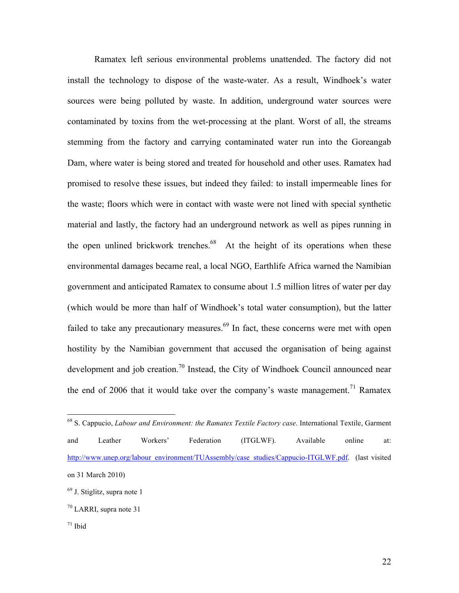Ramatex left serious environmental problems unattended. The factory did not install the technology to dispose of the waste-water. As a result, Windhoek's water sources were being polluted by waste. In addition, underground water sources were contaminated by toxins from the wet-processing at the plant. Worst of all, the streams stemming from the factory and carrying contaminated water run into the Goreangab Dam, where water is being stored and treated for household and other uses. Ramatex had promised to resolve these issues, but indeed they failed: to install impermeable lines for the waste; floors which were in contact with waste were not lined with special synthetic material and lastly, the factory had an underground network as well as pipes running in the open unlined brickwork trenches.<sup>68</sup> At the height of its operations when these environmental damages became real, a local NGO, Earthlife Africa warned the Namibian government and anticipated Ramatex to consume about 1.5 million litres of water per day (which would be more than half of Windhoek's total water consumption), but the latter failed to take any precautionary measures.<sup>69</sup> In fact, these concerns were met with open hostility by the Namibian government that accused the organisation of being against development and job creation.<sup>70</sup> Instead, the City of Windhoek Council announced near the end of 2006 that it would take over the company's waste management.<sup>71</sup> Ramatex

 <sup>68</sup> S. Cappucio, *Labour and Environment: the Ramatex Textile Factory case*. International Textile, Garment and Leather Workers' Federation (ITGLWF). Available online at: http://www.unep.org/labour\_environment/TUAssembly/case\_studies/Cappucio-ITGLWF.pdf. (last visited on 31 March 2010)

<sup>69</sup> J. Stiglitz, supra note 1

 $70$  LARRI, supra note 31

 $71$  Ibid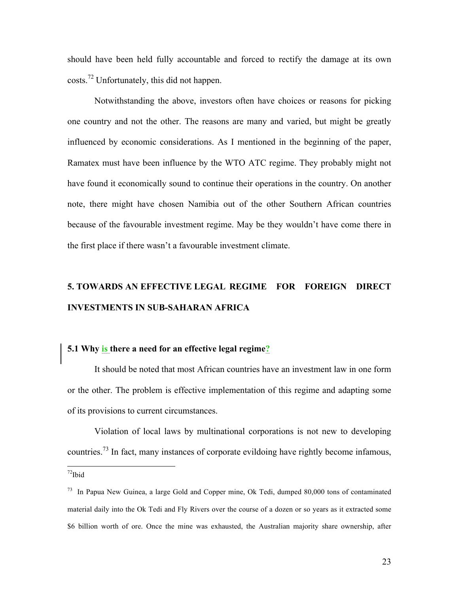should have been held fully accountable and forced to rectify the damage at its own costs.<sup>72</sup> Unfortunately, this did not happen.

Notwithstanding the above, investors often have choices or reasons for picking one country and not the other. The reasons are many and varied, but might be greatly influenced by economic considerations. As I mentioned in the beginning of the paper, Ramatex must have been influence by the WTO ATC regime. They probably might not have found it economically sound to continue their operations in the country. On another note, there might have chosen Namibia out of the other Southern African countries because of the favourable investment regime. May be they wouldn't have come there in the first place if there wasn't a favourable investment climate.

### **5. TOWARDS AN EFFECTIVE LEGAL REGIME FOR FOREIGN DIRECT INVESTMENTS IN SUB-SAHARAN AFRICA**

#### **5.1 Why is there a need for an effective legal regime?**

It should be noted that most African countries have an investment law in one form or the other. The problem is effective implementation of this regime and adapting some of its provisions to current circumstances.

Violation of local laws by multinational corporations is not new to developing countries.<sup>73</sup> In fact, many instances of corporate evildoing have rightly become infamous,

 $72$ Ibid

<sup>73</sup> In Papua New Guinea, a large Gold and Copper mine, Ok Tedi, dumped 80,000 tons of contaminated material daily into the Ok Tedi and Fly Rivers over the course of a dozen or so years as it extracted some \$6 billion worth of ore. Once the mine was exhausted, the Australian majority share ownership, after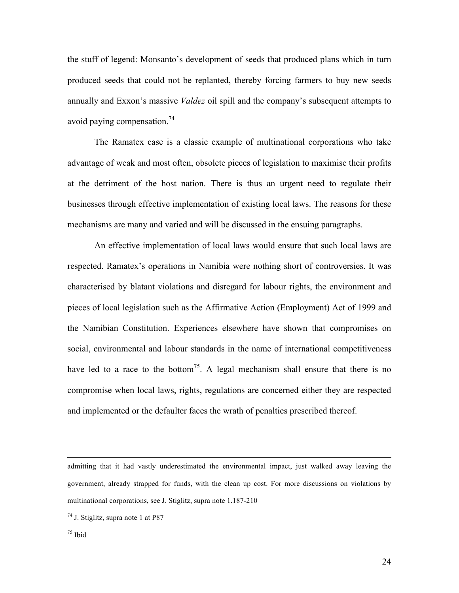the stuff of legend: Monsanto's development of seeds that produced plans which in turn produced seeds that could not be replanted, thereby forcing farmers to buy new seeds annually and Exxon's massive *Valdez* oil spill and the company's subsequent attempts to avoid paying compensation. 74

The Ramatex case is a classic example of multinational corporations who take advantage of weak and most often, obsolete pieces of legislation to maximise their profits at the detriment of the host nation. There is thus an urgent need to regulate their businesses through effective implementation of existing local laws. The reasons for these mechanisms are many and varied and will be discussed in the ensuing paragraphs.

An effective implementation of local laws would ensure that such local laws are respected. Ramatex's operations in Namibia were nothing short of controversies. It was characterised by blatant violations and disregard for labour rights, the environment and pieces of local legislation such as the Affirmative Action (Employment) Act of 1999 and the Namibian Constitution. Experiences elsewhere have shown that compromises on social, environmental and labour standards in the name of international competitiveness have led to a race to the bottom<sup>75</sup>. A legal mechanism shall ensure that there is no compromise when local laws, rights, regulations are concerned either they are respected and implemented or the defaulter faces the wrath of penalties prescribed thereof.

 $\overline{a}$ 

admitting that it had vastly underestimated the environmental impact, just walked away leaving the government, already strapped for funds, with the clean up cost. For more discussions on violations by multinational corporations, see J. Stiglitz, supra note 1.187-210

 $74$  J. Stiglitz, supra note 1 at P87

 $75$  Ibid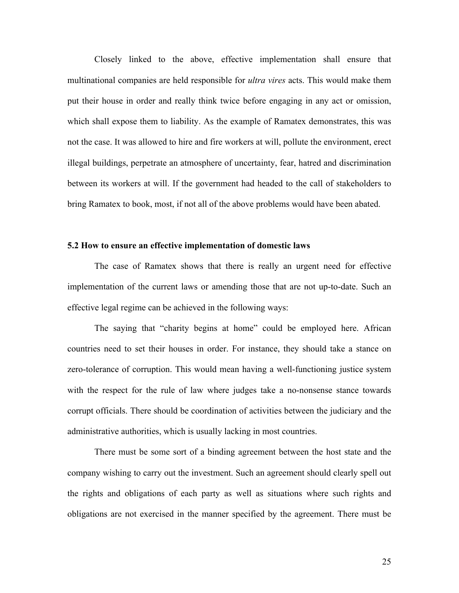Closely linked to the above, effective implementation shall ensure that multinational companies are held responsible for *ultra vires* acts. This would make them put their house in order and really think twice before engaging in any act or omission, which shall expose them to liability. As the example of Ramatex demonstrates, this was not the case. It was allowed to hire and fire workers at will, pollute the environment, erect illegal buildings, perpetrate an atmosphere of uncertainty, fear, hatred and discrimination between its workers at will. If the government had headed to the call of stakeholders to bring Ramatex to book, most, if not all of the above problems would have been abated.

#### **5.2 How to ensure an effective implementation of domestic laws**

The case of Ramatex shows that there is really an urgent need for effective implementation of the current laws or amending those that are not up-to-date. Such an effective legal regime can be achieved in the following ways:

The saying that "charity begins at home" could be employed here. African countries need to set their houses in order. For instance, they should take a stance on zero-tolerance of corruption. This would mean having a well-functioning justice system with the respect for the rule of law where judges take a no-nonsense stance towards corrupt officials. There should be coordination of activities between the judiciary and the administrative authorities, which is usually lacking in most countries.

There must be some sort of a binding agreement between the host state and the company wishing to carry out the investment. Such an agreement should clearly spell out the rights and obligations of each party as well as situations where such rights and obligations are not exercised in the manner specified by the agreement. There must be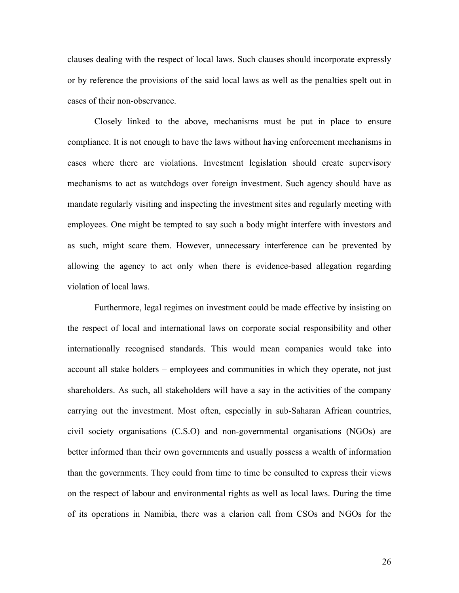clauses dealing with the respect of local laws. Such clauses should incorporate expressly or by reference the provisions of the said local laws as well as the penalties spelt out in cases of their non-observance.

Closely linked to the above, mechanisms must be put in place to ensure compliance. It is not enough to have the laws without having enforcement mechanisms in cases where there are violations. Investment legislation should create supervisory mechanisms to act as watchdogs over foreign investment. Such agency should have as mandate regularly visiting and inspecting the investment sites and regularly meeting with employees. One might be tempted to say such a body might interfere with investors and as such, might scare them. However, unnecessary interference can be prevented by allowing the agency to act only when there is evidence-based allegation regarding violation of local laws.

Furthermore, legal regimes on investment could be made effective by insisting on the respect of local and international laws on corporate social responsibility and other internationally recognised standards. This would mean companies would take into account all stake holders – employees and communities in which they operate, not just shareholders. As such, all stakeholders will have a say in the activities of the company carrying out the investment. Most often, especially in sub-Saharan African countries, civil society organisations (C.S.O) and non-governmental organisations (NGOs) are better informed than their own governments and usually possess a wealth of information than the governments. They could from time to time be consulted to express their views on the respect of labour and environmental rights as well as local laws. During the time of its operations in Namibia, there was a clarion call from CSOs and NGOs for the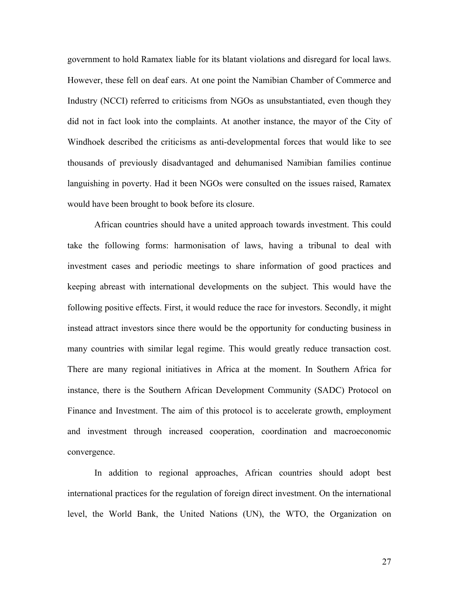government to hold Ramatex liable for its blatant violations and disregard for local laws. However, these fell on deaf ears. At one point the Namibian Chamber of Commerce and Industry (NCCI) referred to criticisms from NGOs as unsubstantiated, even though they did not in fact look into the complaints. At another instance, the mayor of the City of Windhoek described the criticisms as anti-developmental forces that would like to see thousands of previously disadvantaged and dehumanised Namibian families continue languishing in poverty. Had it been NGOs were consulted on the issues raised, Ramatex would have been brought to book before its closure.

African countries should have a united approach towards investment. This could take the following forms: harmonisation of laws, having a tribunal to deal with investment cases and periodic meetings to share information of good practices and keeping abreast with international developments on the subject. This would have the following positive effects. First, it would reduce the race for investors. Secondly, it might instead attract investors since there would be the opportunity for conducting business in many countries with similar legal regime. This would greatly reduce transaction cost. There are many regional initiatives in Africa at the moment. In Southern Africa for instance, there is the Southern African Development Community (SADC) Protocol on Finance and Investment. The aim of this protocol is to accelerate growth, employment and investment through increased cooperation, coordination and macroeconomic convergence.

In addition to regional approaches, African countries should adopt best international practices for the regulation of foreign direct investment. On the international level, the World Bank, the United Nations (UN), the WTO, the Organization on

27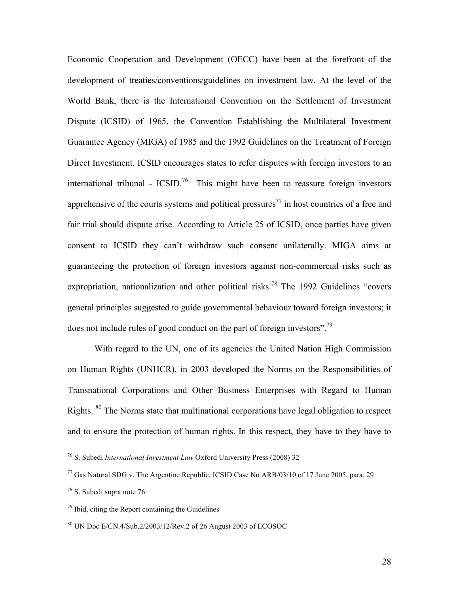Economic Cooperation and Development (OECC) have been at the forefront of the development of treaties/conventions/guidelines on investment law. At the level of the World Bank, there is the International Convention on the Settlement of Investment Dispute (ICSID) of 1965, the Convention Establishing the Multilateral Investment Guarantee Agency (MIGA) of 1985 and the 1992 Guidelines on the Treatment of Foreign Direct Investment. ICSID encourages states to refer disputes with foreign investors to an international tribunal -  $\text{ICSID.}^{76}$  This might have been to reassure foreign investors apprehensive of the courts systems and political pressures<sup>77</sup> in host countries of a free and fair trial should dispute arise. According to Article 25 of ICSID, once parties have given consent to ICSID they can't withdraw such consent unilaterally. MIGA aims at guaranteeing the protection of foreign investors against non-commercial risks such as expropriation, nationalization and other political risks.<sup>78</sup> The 1992 Guidelines "covers" general principles suggested to guide governmental behaviour toward foreign investors; it does not include rules of good conduct on the part of foreign investors".<sup>79</sup>

With regard to the UN, one of its agencies the United Nation High Commission on Human Rights (UNHCR), in 2003 developed the Norms on the Responsibilities of Transnational Corporations and Other Business Enterprises with Regard to Human Rights. <sup>80</sup> The Norms state that multinational corporations have legal obligation to respect and to ensure the protection of human rights. In this respect, they have to they have to

 <sup>76</sup> S. Subedi *International Investment Law* Oxford University Press (2008) 32

 $^{77}$  Gas Natural SDG v. The Argentine Republic, ICSID Case No ARB/03/10 of 17 June 2005, para. 29

<sup>78</sup> S. Subedi supra note 76

 $79$  Ibid, citing the Report containing the Guidelines

<sup>80</sup> UN Doc E/CN.4/Sub.2/2003/12/Rev.2 of 26 August 2003 of ECOSOC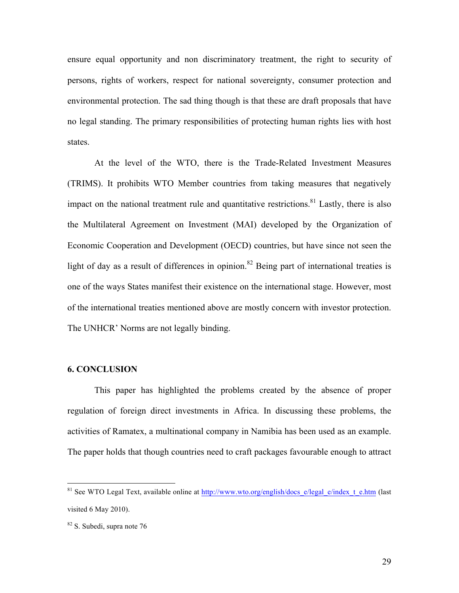ensure equal opportunity and non discriminatory treatment, the right to security of persons, rights of workers, respect for national sovereignty, consumer protection and environmental protection. The sad thing though is that these are draft proposals that have no legal standing. The primary responsibilities of protecting human rights lies with host states.

At the level of the WTO, there is the Trade-Related Investment Measures (TRIMS). It prohibits WTO Member countries from taking measures that negatively impact on the national treatment rule and quantitative restrictions.<sup>81</sup> Lastly, there is also the Multilateral Agreement on Investment (MAI) developed by the Organization of Economic Cooperation and Development (OECD) countries, but have since not seen the light of day as a result of differences in opinion.<sup>82</sup> Being part of international treaties is one of the ways States manifest their existence on the international stage. However, most of the international treaties mentioned above are mostly concern with investor protection. The UNHCR' Norms are not legally binding.

#### **6. CONCLUSION**

This paper has highlighted the problems created by the absence of proper regulation of foreign direct investments in Africa. In discussing these problems, the activities of Ramatex, a multinational company in Namibia has been used as an example. The paper holds that though countries need to craft packages favourable enough to attract

<sup>&</sup>lt;sup>81</sup> See WTO Legal Text, available online at http://www.wto.org/english/docs\_e/legal\_e/index\_t\_e.htm (last visited 6 May 2010).

<sup>82</sup> S. Subedi, supra note 76